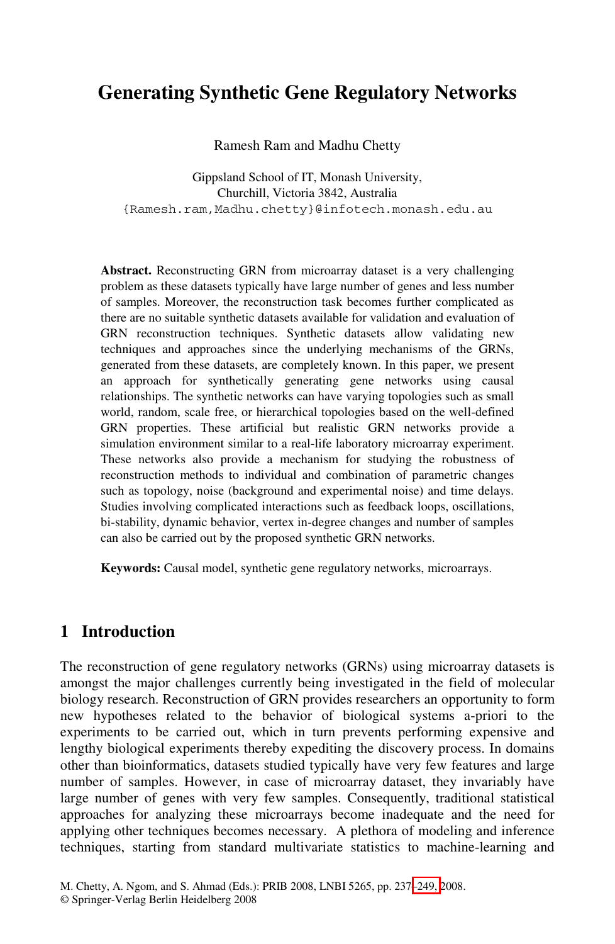# **Generating Synthetic Gene Regulatory Networks**

Ramesh Ram and Madhu Chetty

Gippsland School of IT, Monash University, Churchill, Victoria 3842, Australia {Ramesh.ram,Madhu.chetty}@infotech.monash.edu.au

**Abstract.** Reconstructing GRN from microarray dataset is a very challenging problem as these datasets typically have large number of genes and less number of samples. Moreover, the reconstruction task becomes further complicated as there are no suitable synthetic datasets available for validation and evaluation of GRN reconstruction techniques. Synthetic datasets allow validating new techniques and approaches since the underlying mechanisms of the GRNs, generated from these datasets, are completely known. In this paper, we present an approach for synthetically generating gene networks using causal relationships. The synthetic networks can have varying topologies such as small world, random, scale free, or hierarchical topologies based on the well-defined GRN properties. These artificial but realistic GRN networks provide a simulation environment similar to a real-life laboratory microarray experiment. These networks also provide a mechanism for studying the robustness of reconstruction methods to individual and combination of parametric changes such as topology, noise (background and experimental noise) and time delays. Studies involving complicated interactions such as feedback loops, oscillations, bi-stability, dynamic behavior, vertex in-degree changes and number of samples can also be carried out by the proposed synthetic GRN networks.

**Keywords:** Causal model, synthetic gene regulatory networks, microarrays.

## **1 Introduction**

The reconstruction of gene regulatory networks (GRNs) using microarray datasets is amongst the major challenges currently being investigated in the field of molecular biology research. Reconstruction of GRN provides researchers an opportunity to form new hypotheses related to the behavior of biological systems a-priori to the experiments to be carried out, which in turn prevents performing expensive and lengthy biological experiments thereby [exped](#page-12-0)iting the discovery process. In domains other than bioinformatics, datasets studied typically have very few features and large number of samples. However, in case of microarray dataset, they invariably have large number of genes with very few samples. Consequently, traditional statistical approaches for analyzing these microarrays become inadequate and the need for applying other techniques becomes necessary. A plethora of modeling and inference techniques, starting from standard multivariate statistics to machine-learning and

M. Chetty, A. Ngom, and S. Ahmad (Eds.): PRIB 2008, LNBI 5265, pp. 237–249, 2008. © Springer-Verlag Berlin Heidelberg 2008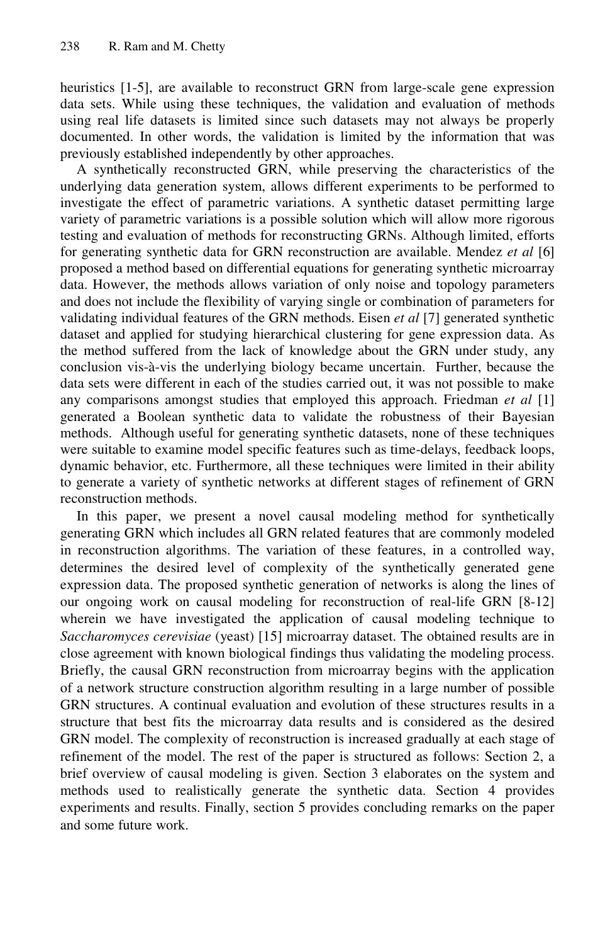heuristics [1-5], are available to reconstruct GRN from large-scale gene expression data sets. While using these techniques, the validation and evaluation of methods using real life datasets is limited since such datasets may not always be properly documented. In other words, the validation is limited by the information that was previously established independently by other approaches.

A synthetically reconstructed GRN, while preserving the characteristics of the underlying data generation system, allows different experiments to be performed to investigate the effect of parametric variations. A synthetic dataset permitting large variety of parametric variations is a possible solution which will allow more rigorous testing and evaluation of methods for reconstructing GRNs. Although limited, efforts for generating synthetic data for GRN reconstruction are available. Mendez *et al* [6] proposed a method based on differential equations for generating synthetic microarray data. However, the methods allows variation of only noise and topology parameters and does not include the flexibility of varying single or combination of parameters for validating individual features of the GRN methods. Eisen *et al* [7] generated synthetic dataset and applied for studying hierarchical clustering for gene expression data. As the method suffered from the lack of knowledge about the GRN under study, any conclusion vis-à-vis the underlying biology became uncertain. Further, because the data sets were different in each of the studies carried out, it was not possible to make any comparisons amongst studies that employed this approach. Friedman *et al* [1] generated a Boolean synthetic data to validate the robustness of their Bayesian methods. Although useful for generating synthetic datasets, none of these techniques were suitable to examine model specific features such as time-delays, feedback loops, dynamic behavior, etc. Furthermore, all these techniques were limited in their ability to generate a variety of synthetic networks at different stages of refinement of GRN reconstruction methods.

In this paper, we present a novel causal modeling method for synthetically generating GRN which includes all GRN related features that are commonly modeled in reconstruction algorithms. The variation of these features, in a controlled way, determines the desired level of complexity of the synthetically generated gene expression data. The proposed synthetic generation of networks is along the lines of our ongoing work on causal modeling for reconstruction of real-life GRN [8-12] wherein we have investigated the application of causal modeling technique to *Saccharomyces cerevisiae* (yeast) [15] microarray dataset. The obtained results are in close agreement with known biological findings thus validating the modeling process. Briefly, the causal GRN reconstruction from microarray begins with the application of a network structure construction algorithm resulting in a large number of possible GRN structures. A continual evaluation and evolution of these structures results in a structure that best fits the microarray data results and is considered as the desired GRN model. The complexity of reconstruction is increased gradually at each stage of refinement of the model. The rest of the paper is structured as follows: Section 2, a brief overview of causal modeling is given. Section 3 elaborates on the system and methods used to realistically generate the synthetic data. Section 4 provides experiments and results. Finally, section 5 provides concluding remarks on the paper and some future work.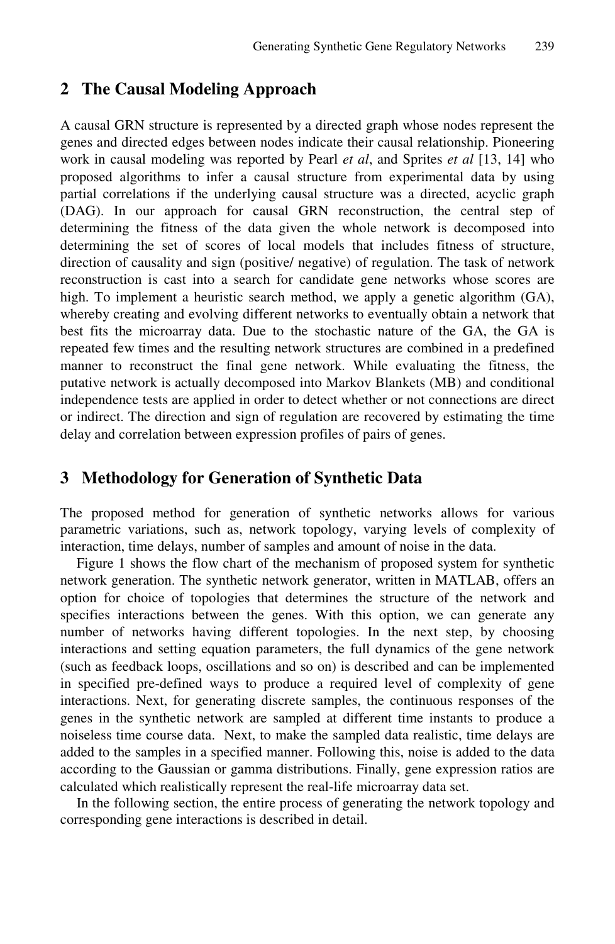## **2 The Causal Modeling Approach**

A causal GRN structure is represented by a directed graph whose nodes represent the genes and directed edges between nodes indicate their causal relationship. Pioneering work in causal modeling was reported by Pearl *et al*, and Sprites *et al* [13, 14] who proposed algorithms to infer a causal structure from experimental data by using partial correlations if the underlying causal structure was a directed, acyclic graph (DAG). In our approach for causal GRN reconstruction, the central step of determining the fitness of the data given the whole network is decomposed into determining the set of scores of local models that includes fitness of structure, direction of causality and sign (positive/ negative) of regulation. The task of network reconstruction is cast into a search for candidate gene networks whose scores are high. To implement a heuristic search method, we apply a genetic algorithm (GA), whereby creating and evolving different networks to eventually obtain a network that best fits the microarray data. Due to the stochastic nature of the GA, the GA is repeated few times and the resulting network structures are combined in a predefined manner to reconstruct the final gene network. While evaluating the fitness, the putative network is actually decomposed into Markov Blankets (MB) and conditional independence tests are applied in order to detect whether or not connections are direct or indirect. The direction and sign of regulation are recovered by estimating the time delay and correlation between expression profiles of pairs of genes.

## **3 Methodology for Generation of Synthetic Data**

The proposed method for generation of synthetic networks allows for various parametric variations, such as, network topology, varying levels of complexity of interaction, time delays, number of samples and amount of noise in the data.

Figure 1 shows the flow chart of the mechanism of proposed system for synthetic network generation. The synthetic network generator, written in MATLAB, offers an option for choice of topologies that determines the structure of the network and specifies interactions between the genes. With this option, we can generate any number of networks having different topologies. In the next step, by choosing interactions and setting equation parameters, the full dynamics of the gene network (such as feedback loops, oscillations and so on) is described and can be implemented in specified pre-defined ways to produce a required level of complexity of gene interactions. Next, for generating discrete samples, the continuous responses of the genes in the synthetic network are sampled at different time instants to produce a noiseless time course data. Next, to make the sampled data realistic, time delays are added to the samples in a specified manner. Following this, noise is added to the data according to the Gaussian or gamma distributions. Finally, gene expression ratios are calculated which realistically represent the real-life microarray data set.

In the following section, the entire process of generating the network topology and corresponding gene interactions is described in detail.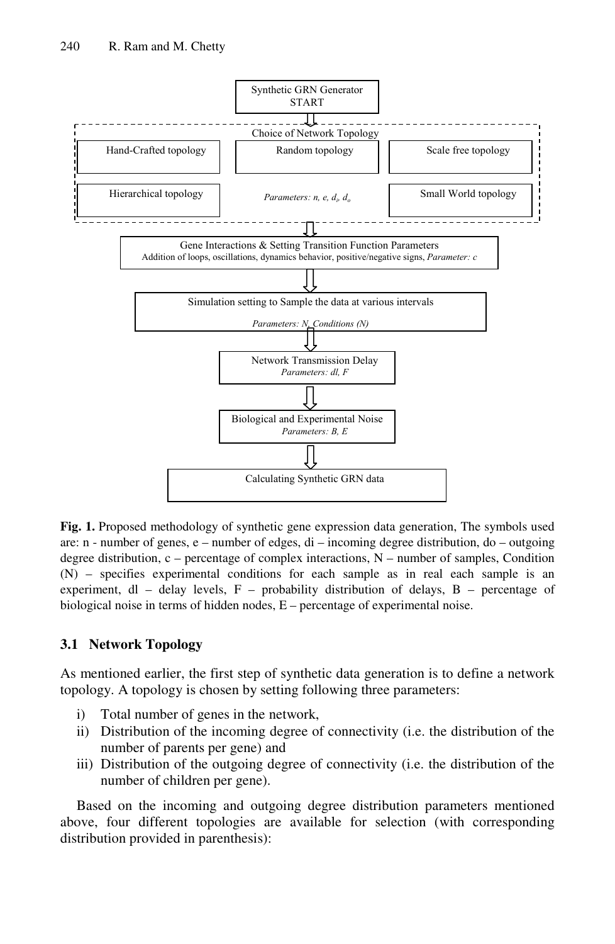

**Fig. 1.** Proposed methodology of synthetic gene expression data generation, The symbols used are: n - number of genes, e – number of edges, di – incoming degree distribution, do – outgoing degree distribution,  $c$  – percentage of complex interactions,  $N$  – number of samples, Condition (N) – specifies experimental conditions for each sample as in real each sample is an experiment,  $dl -$  delay levels,  $F -$  probability distribution of delays,  $B -$  percentage of biological noise in terms of hidden nodes, E – percentage of experimental noise.

## **3.1 Network Topology**

As mentioned earlier, the first step of synthetic data generation is to define a network topology. A topology is chosen by setting following three parameters:

- i) Total number of genes in the network,
- ii) Distribution of the incoming degree of connectivity (i.e. the distribution of the number of parents per gene) and
- iii) Distribution of the outgoing degree of connectivity (i.e. the distribution of the number of children per gene).

Based on the incoming and outgoing degree distribution parameters mentioned above, four different topologies are available for selection (with corresponding distribution provided in parenthesis):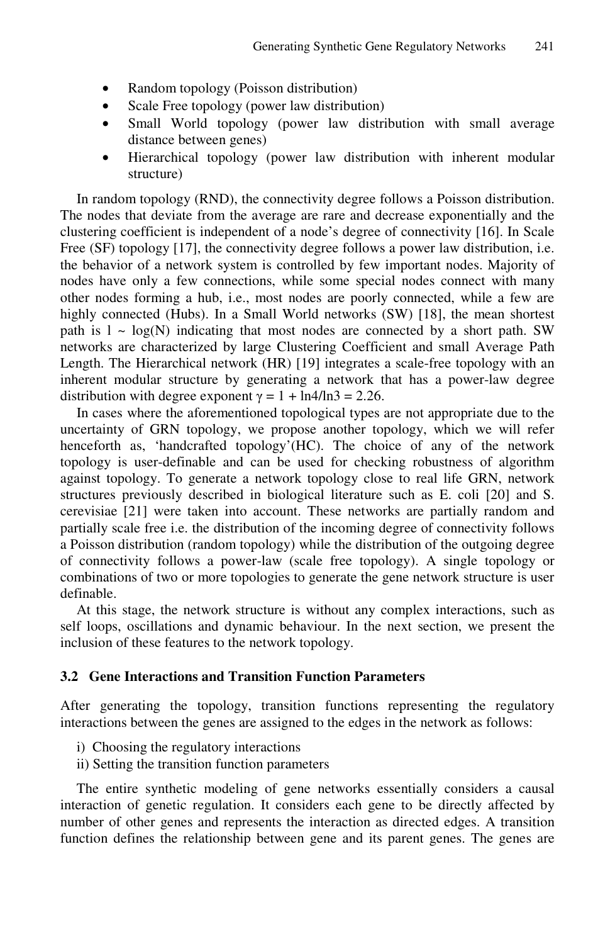- Random topology (Poisson distribution)
- Scale Free topology (power law distribution)
- Small World topology (power law distribution with small average distance between genes)
- Hierarchical topology (power law distribution with inherent modular structure)

In random topology (RND), the connectivity degree follows a Poisson distribution. The nodes that deviate from the average are rare and decrease exponentially and the clustering coefficient is independent of a node's degree of connectivity [16]. In Scale Free (SF) topology [17], the connectivity degree follows a power law distribution, i.e. the behavior of a network system is controlled by few important nodes. Majority of nodes have only a few connections, while some special nodes connect with many other nodes forming a hub, i.e., most nodes are poorly connected, while a few are highly connected (Hubs). In a Small World networks (SW) [18], the mean shortest path is  $1 \sim \log(N)$  indicating that most nodes are connected by a short path. SW networks are characterized by large Clustering Coefficient and small Average Path Length. The Hierarchical network (HR) [19] integrates a scale-free topology with an inherent modular structure by generating a network that has a power-law degree distribution with degree exponent  $\gamma = 1 + \ln 4/\ln 3 = 2.26$ .

In cases where the aforementioned topological types are not appropriate due to the uncertainty of GRN topology, we propose another topology, which we will refer henceforth as, 'handcrafted topology'(HC). The choice of any of the network topology is user-definable and can be used for checking robustness of algorithm against topology. To generate a network topology close to real life GRN, network structures previously described in biological literature such as E. coli [20] and S. cerevisiae [21] were taken into account. These networks are partially random and partially scale free i.e. the distribution of the incoming degree of connectivity follows a Poisson distribution (random topology) while the distribution of the outgoing degree of connectivity follows a power-law (scale free topology). A single topology or combinations of two or more topologies to generate the gene network structure is user definable.

At this stage, the network structure is without any complex interactions, such as self loops, oscillations and dynamic behaviour. In the next section, we present the inclusion of these features to the network topology.

#### **3.2 Gene Interactions and Transition Function Parameters**

After generating the topology, transition functions representing the regulatory interactions between the genes are assigned to the edges in the network as follows:

- i) Choosing the regulatory interactions
- ii) Setting the transition function parameters

The entire synthetic modeling of gene networks essentially considers a causal interaction of genetic regulation. It considers each gene to be directly affected by number of other genes and represents the interaction as directed edges. A transition function defines the relationship between gene and its parent genes. The genes are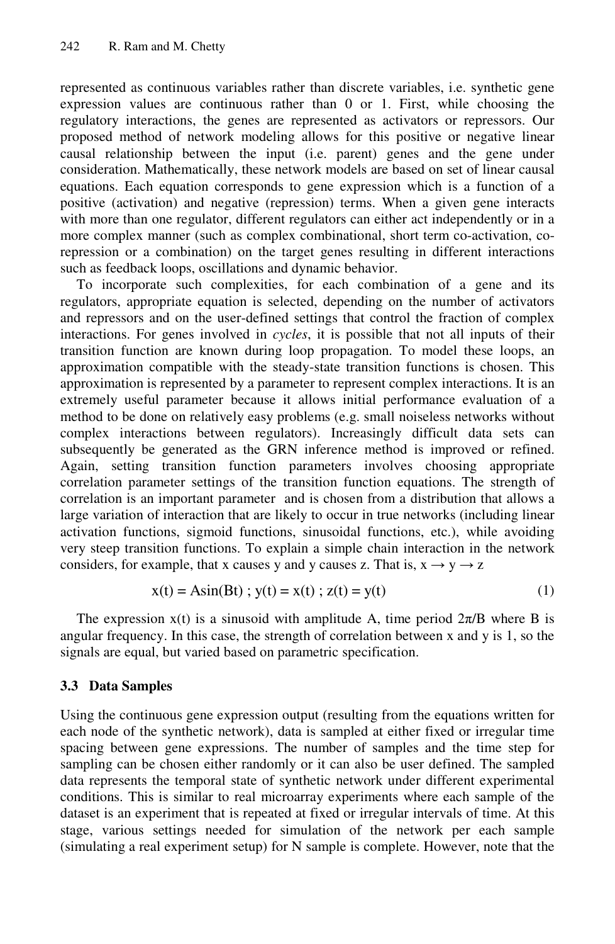represented as continuous variables rather than discrete variables, i.e. synthetic gene expression values are continuous rather than 0 or 1. First, while choosing the regulatory interactions, the genes are represented as activators or repressors. Our proposed method of network modeling allows for this positive or negative linear causal relationship between the input (i.e. parent) genes and the gene under consideration. Mathematically, these network models are based on set of linear causal equations. Each equation corresponds to gene expression which is a function of a positive (activation) and negative (repression) terms. When a given gene interacts with more than one regulator, different regulators can either act independently or in a more complex manner (such as complex combinational, short term co-activation, corepression or a combination) on the target genes resulting in different interactions such as feedback loops, oscillations and dynamic behavior.

To incorporate such complexities, for each combination of a gene and its regulators, appropriate equation is selected, depending on the number of activators and repressors and on the user-defined settings that control the fraction of complex interactions. For genes involved in *cycles*, it is possible that not all inputs of their transition function are known during loop propagation. To model these loops, an approximation compatible with the steady-state transition functions is chosen. This approximation is represented by a parameter to represent complex interactions. It is an extremely useful parameter because it allows initial performance evaluation of a method to be done on relatively easy problems (e.g. small noiseless networks without complex interactions between regulators). Increasingly difficult data sets can subsequently be generated as the GRN inference method is improved or refined. Again, setting transition function parameters involves choosing appropriate correlation parameter settings of the transition function equations. The strength of correlation is an important parameter and is chosen from a distribution that allows a large variation of interaction that are likely to occur in true networks (including linear activation functions, sigmoid functions, sinusoidal functions, etc.), while avoiding very steep transition functions. To explain a simple chain interaction in the network considers, for example, that x causes y and y causes z. That is,  $x \rightarrow y \rightarrow z$ 

$$
x(t) = A\sin(Bt) ; y(t) = x(t) ; z(t) = y(t)
$$
 (1)

The expression  $x(t)$  is a sinusoid with amplitude A, time period  $2\pi/B$  where B is angular frequency. In this case, the strength of correlation between x and y is 1, so the signals are equal, but varied based on parametric specification.

### **3.3 Data Samples**

Using the continuous gene expression output (resulting from the equations written for each node of the synthetic network), data is sampled at either fixed or irregular time spacing between gene expressions. The number of samples and the time step for sampling can be chosen either randomly or it can also be user defined. The sampled data represents the temporal state of synthetic network under different experimental conditions. This is similar to real microarray experiments where each sample of the dataset is an experiment that is repeated at fixed or irregular intervals of time. At this stage, various settings needed for simulation of the network per each sample (simulating a real experiment setup) for N sample is complete. However, note that the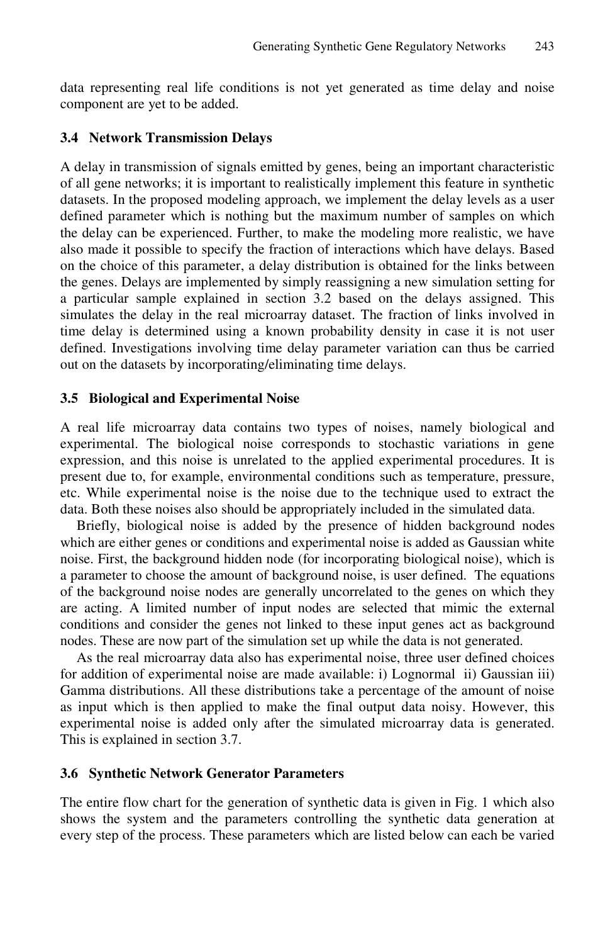data representing real life conditions is not yet generated as time delay and noise component are yet to be added.

#### **3.4 Network Transmission Delays**

A delay in transmission of signals emitted by genes, being an important characteristic of all gene networks; it is important to realistically implement this feature in synthetic datasets. In the proposed modeling approach, we implement the delay levels as a user defined parameter which is nothing but the maximum number of samples on which the delay can be experienced. Further, to make the modeling more realistic, we have also made it possible to specify the fraction of interactions which have delays. Based on the choice of this parameter, a delay distribution is obtained for the links between the genes. Delays are implemented by simply reassigning a new simulation setting for a particular sample explained in section 3.2 based on the delays assigned. This simulates the delay in the real microarray dataset. The fraction of links involved in time delay is determined using a known probability density in case it is not user defined. Investigations involving time delay parameter variation can thus be carried out on the datasets by incorporating/eliminating time delays.

#### **3.5 Biological and Experimental Noise**

A real life microarray data contains two types of noises, namely biological and experimental. The biological noise corresponds to stochastic variations in gene expression, and this noise is unrelated to the applied experimental procedures. It is present due to, for example, environmental conditions such as temperature, pressure, etc. While experimental noise is the noise due to the technique used to extract the data. Both these noises also should be appropriately included in the simulated data.

Briefly, biological noise is added by the presence of hidden background nodes which are either genes or conditions and experimental noise is added as Gaussian white noise. First, the background hidden node (for incorporating biological noise), which is a parameter to choose the amount of background noise, is user defined. The equations of the background noise nodes are generally uncorrelated to the genes on which they are acting. A limited number of input nodes are selected that mimic the external conditions and consider the genes not linked to these input genes act as background nodes. These are now part of the simulation set up while the data is not generated.

As the real microarray data also has experimental noise, three user defined choices for addition of experimental noise are made available: i) Lognormal ii) Gaussian iii) Gamma distributions. All these distributions take a percentage of the amount of noise as input which is then applied to make the final output data noisy. However, this experimental noise is added only after the simulated microarray data is generated. This is explained in section 3.7.

#### **3.6 Synthetic Network Generator Parameters**

The entire flow chart for the generation of synthetic data is given in Fig. 1 which also shows the system and the parameters controlling the synthetic data generation at every step of the process. These parameters which are listed below can each be varied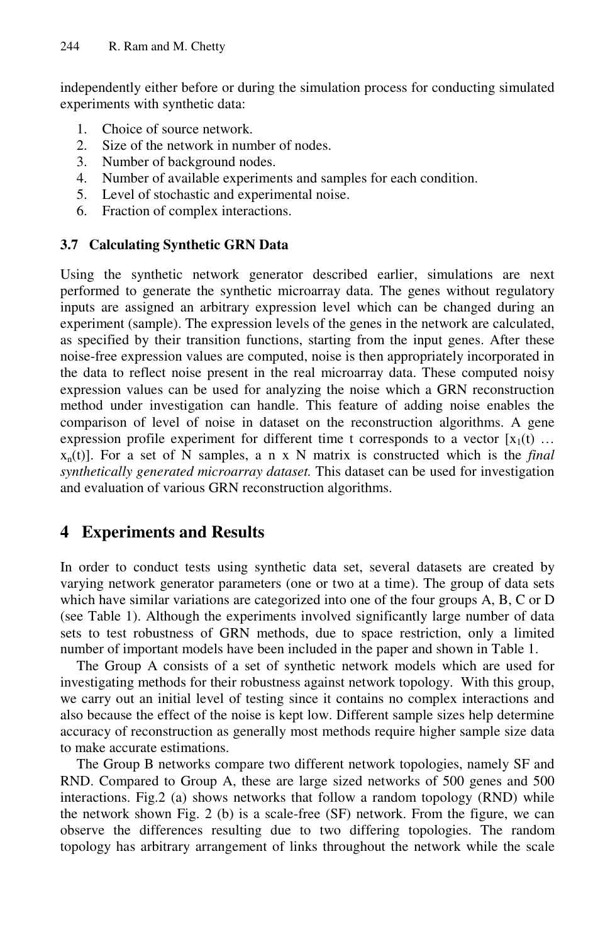independently either before or during the simulation process for conducting simulated experiments with synthetic data:

- 1. Choice of source network.
- 2. Size of the network in number of nodes.
- 3. Number of background nodes.
- 4. Number of available experiments and samples for each condition.
- 5. Level of stochastic and experimental noise.
- 6. Fraction of complex interactions.

### **3.7 Calculating Synthetic GRN Data**

Using the synthetic network generator described earlier, simulations are next performed to generate the synthetic microarray data. The genes without regulatory inputs are assigned an arbitrary expression level which can be changed during an experiment (sample). The expression levels of the genes in the network are calculated, as specified by their transition functions, starting from the input genes. After these noise-free expression values are computed, noise is then appropriately incorporated in the data to reflect noise present in the real microarray data. These computed noisy expression values can be used for analyzing the noise which a GRN reconstruction method under investigation can handle. This feature of adding noise enables the comparison of level of noise in dataset on the reconstruction algorithms. A gene expression profile experiment for different time t corresponds to a vector  $[x_1(t) \dots$  $x_n(t)$ . For a set of N samples, a n x N matrix is constructed which is the *final synthetically generated microarray dataset.* This dataset can be used for investigation and evaluation of various GRN reconstruction algorithms.

## **4 Experiments and Results**

In order to conduct tests using synthetic data set, several datasets are created by varying network generator parameters (one or two at a time). The group of data sets which have similar variations are categorized into one of the four groups A, B, C or D (see Table 1). Although the experiments involved significantly large number of data sets to test robustness of GRN methods, due to space restriction, only a limited number of important models have been included in the paper and shown in Table 1.

The Group A consists of a set of synthetic network models which are used for investigating methods for their robustness against network topology. With this group, we carry out an initial level of testing since it contains no complex interactions and also because the effect of the noise is kept low. Different sample sizes help determine accuracy of reconstruction as generally most methods require higher sample size data to make accurate estimations.

The Group B networks compare two different network topologies, namely SF and RND. Compared to Group A, these are large sized networks of 500 genes and 500 interactions. Fig.2 (a) shows networks that follow a random topology (RND) while the network shown Fig. 2 (b) is a scale-free (SF) network. From the figure, we can observe the differences resulting due to two differing topologies. The random topology has arbitrary arrangement of links throughout the network while the scale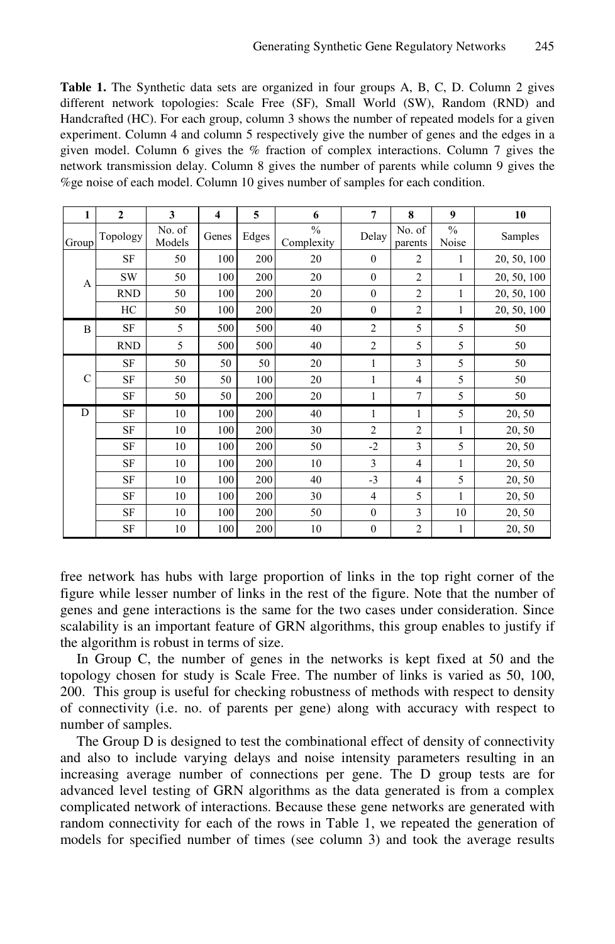**Table 1.** The Synthetic data sets are organized in four groups A, B, C, D. Column 2 gives different network topologies: Scale Free (SF), Small World (SW), Random (RND) and Handcrafted (HC). For each group, column 3 shows the number of repeated models for a given experiment. Column 4 and column 5 respectively give the number of genes and the edges in a given model. Column 6 gives the % fraction of complex interactions. Column 7 gives the network transmission delay. Column 8 gives the number of parents while column 9 gives the %ge noise of each model. Column 10 gives number of samples for each condition.

| 1     | $\mathbf{2}$ | 3                | $\overline{\bf{4}}$ | 5     | 6                           | 7                | 8                 | 9             | 10          |
|-------|--------------|------------------|---------------------|-------|-----------------------------|------------------|-------------------|---------------|-------------|
| Group | Topology     | No. of<br>Models | Genes               | Edges | $\frac{0}{0}$<br>Complexity | Delay            | No. of<br>parents | $\%$<br>Noise | Samples     |
| A     | SF           | 50               | 100                 | 200   | 20                          | $\mathbf{0}$     | $\overline{2}$    | 1             | 20, 50, 100 |
|       | SW           | 50               | 100                 | 200   | 20                          | $\mathbf{0}$     | $\overline{c}$    | 1             | 20, 50, 100 |
|       | <b>RND</b>   | 50               | 100                 | 200   | 20                          | $\mathbf{0}$     | $\overline{2}$    | 1             | 20, 50, 100 |
|       | HC           | 50               | 100                 | 200   | 20                          | $\mathbf{0}$     | $\overline{c}$    | 1             | 20, 50, 100 |
| B     | SF           | 5                | 500                 | 500   | 40                          | $\overline{c}$   | 5                 | 5             | 50          |
|       | <b>RND</b>   | 5                | 500                 | 500   | 40                          | $\overline{c}$   | 5                 | 5             | 50          |
| C     | SF           | 50               | 50                  | 50    | 20                          | 1                | 3                 | 5             | 50          |
|       | <b>SF</b>    | 50               | 50                  | 100   | 20                          | $\mathbf{1}$     | 4                 | 5             | 50          |
|       | SF           | 50               | 50                  | 200   | 20                          | 1                | $\overline{7}$    | 5             | 50          |
| D     | SF           | 10               | 100                 | 200   | 40                          | 1                | 1                 | 5             | 20, 50      |
|       | SF           | 10               | 100                 | 200   | 30                          | $\overline{c}$   | $\overline{2}$    | 1             | 20, 50      |
|       | SF           | 10               | 100                 | 200   | 50                          | $-2$             | 3                 | 5             | 20, 50      |
|       | SF           | 10               | 100                 | 200   | 10                          | 3                | $\overline{4}$    | 1             | 20, 50      |
|       | SF           | 10               | 100                 | 200   | 40                          | $-3$             | $\overline{4}$    | 5             | 20, 50      |
|       | SF           | 10               | 100                 | 200   | 30                          | $\overline{4}$   | 5                 | 1             | 20, 50      |
|       | SF           | 10               | 100                 | 200   | 50                          | $\mathbf{0}$     | 3                 | 10            | 20, 50      |
|       | SF           | 10               | 100                 | 200   | 10                          | $\boldsymbol{0}$ | $\overline{2}$    | 1             | 20, 50      |

free network has hubs with large proportion of links in the top right corner of the figure while lesser number of links in the rest of the figure. Note that the number of genes and gene interactions is the same for the two cases under consideration. Since scalability is an important feature of GRN algorithms, this group enables to justify if the algorithm is robust in terms of size.

In Group C, the number of genes in the networks is kept fixed at 50 and the topology chosen for study is Scale Free. The number of links is varied as 50, 100, 200. This group is useful for checking robustness of methods with respect to density of connectivity (i.e. no. of parents per gene) along with accuracy with respect to number of samples.

The Group D is designed to test the combinational effect of density of connectivity and also to include varying delays and noise intensity parameters resulting in an increasing average number of connections per gene. The D group tests are for advanced level testing of GRN algorithms as the data generated is from a complex complicated network of interactions. Because these gene networks are generated with random connectivity for each of the rows in Table 1, we repeated the generation of models for specified number of times (see column 3) and took the average results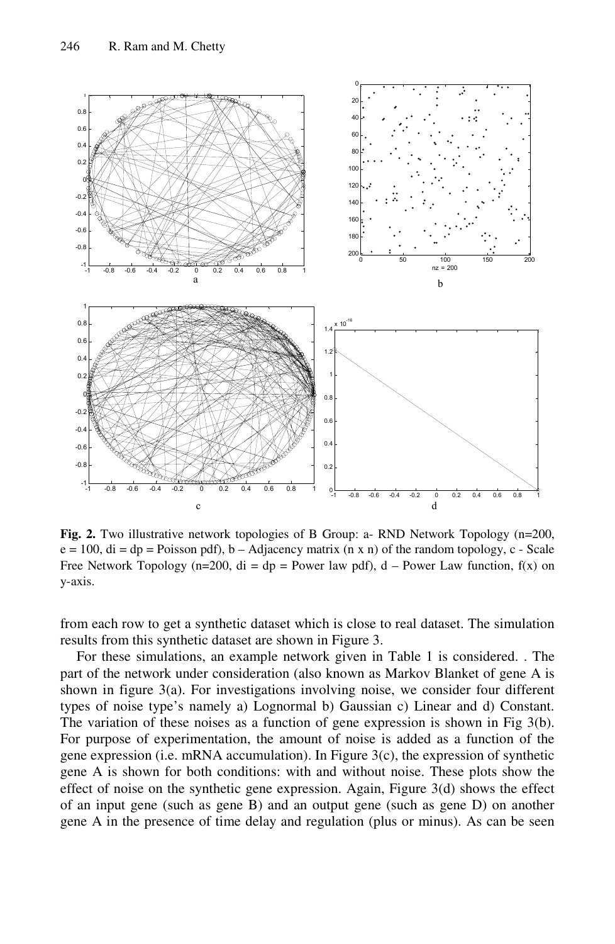

**Fig. 2.** Two illustrative network topologies of B Group: a- RND Network Topology (n=200,  $e = 100$ , di = dp = Poisson pdf), b – Adjacency matrix (n x n) of the random topology, c - Scale Free Network Topology (n=200, di = dp = Power law pdf), d – Power Law function,  $f(x)$  on y-axis.

from each row to get a synthetic dataset which is close to real dataset. The simulation results from this synthetic dataset are shown in Figure 3.

For these simulations, an example network given in Table 1 is considered. . The part of the network under consideration (also known as Markov Blanket of gene A is shown in figure 3(a). For investigations involving noise, we consider four different types of noise type's namely a) Lognormal b) Gaussian c) Linear and d) Constant. The variation of these noises as a function of gene expression is shown in Fig 3(b). For purpose of experimentation, the amount of noise is added as a function of the gene expression (i.e. mRNA accumulation). In Figure  $3(c)$ , the expression of synthetic gene A is shown for both conditions: with and without noise. These plots show the effect of noise on the synthetic gene expression. Again, Figure 3(d) shows the effect of an input gene (such as gene B) and an output gene (such as gene D) on another gene A in the presence of time delay and regulation (plus or minus). As can be seen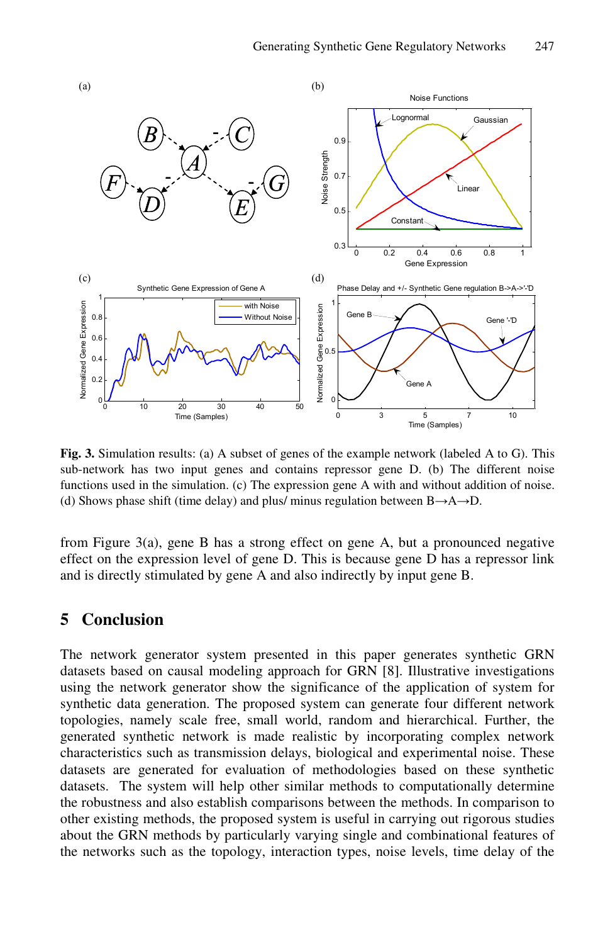

**Fig. 3.** Simulation results: (a) A subset of genes of the example network (labeled A to G). This sub-network has two input genes and contains repressor gene D. (b) The different noise functions used in the simulation. (c) The expression gene A with and without addition of noise. (d) Shows phase shift (time delay) and plus/ minus regulation between  $B\rightarrow A\rightarrow D$ .

from Figure 3(a), gene B has a strong effect on gene A, but a pronounced negative effect on the expression level of gene D. This is because gene D has a repressor link and is directly stimulated by gene A and also indirectly by input gene B.

### **5 Conclusion**

The network generator system presented in this paper generates synthetic GRN datasets based on causal modeling approach for GRN [8]. Illustrative investigations using the network generator show the significance of the application of system for synthetic data generation. The proposed system can generate four different network topologies, namely scale free, small world, random and hierarchical. Further, the generated synthetic network is made realistic by incorporating complex network characteristics such as transmission delays, biological and experimental noise. These datasets are generated for evaluation of methodologies based on these synthetic datasets. The system will help other similar methods to computationally determine the robustness and also establish comparisons between the methods. In comparison to other existing methods, the proposed system is useful in carrying out rigorous studies about the GRN methods by particularly varying single and combinational features of the networks such as the topology, interaction types, noise levels, time delay of the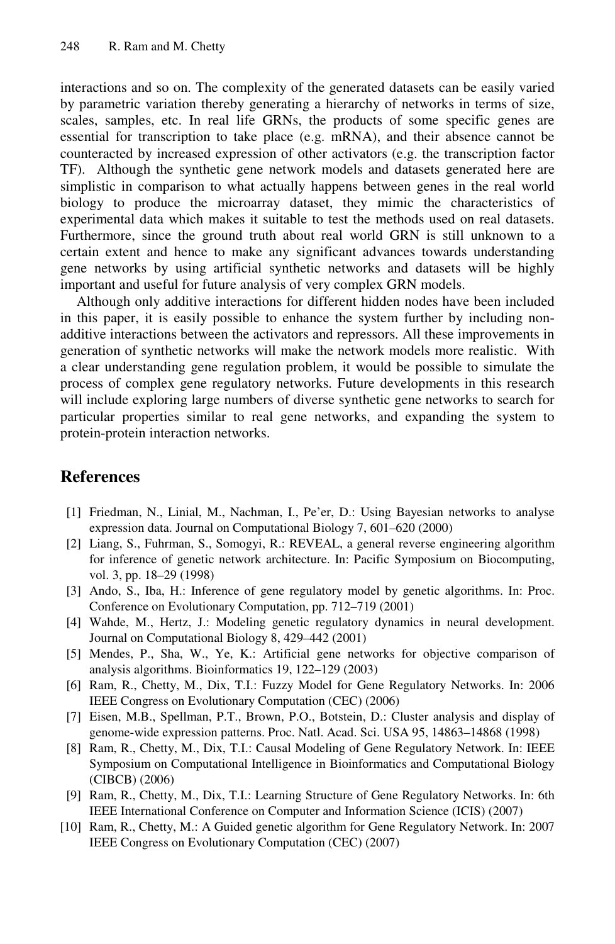interactions and so on. The complexity of the generated datasets can be easily varied by parametric variation thereby generating a hierarchy of networks in terms of size, scales, samples, etc. In real life GRNs, the products of some specific genes are essential for transcription to take place (e.g. mRNA), and their absence cannot be counteracted by increased expression of other activators (e.g. the transcription factor TF). Although the synthetic gene network models and datasets generated here are simplistic in comparison to what actually happens between genes in the real world biology to produce the microarray dataset, they mimic the characteristics of experimental data which makes it suitable to test the methods used on real datasets. Furthermore, since the ground truth about real world GRN is still unknown to a certain extent and hence to make any significant advances towards understanding gene networks by using artificial synthetic networks and datasets will be highly important and useful for future analysis of very complex GRN models.

Although only additive interactions for different hidden nodes have been included in this paper, it is easily possible to enhance the system further by including nonadditive interactions between the activators and repressors. All these improvements in generation of synthetic networks will make the network models more realistic. With a clear understanding gene regulation problem, it would be possible to simulate the process of complex gene regulatory networks. Future developments in this research will include exploring large numbers of diverse synthetic gene networks to search for particular properties similar to real gene networks, and expanding the system to protein-protein interaction networks.

## **References**

- [1] Friedman, N., Linial, M., Nachman, I., Pe'er, D.: Using Bayesian networks to analyse expression data. Journal on Computational Biology 7, 601–620 (2000)
- [2] Liang, S., Fuhrman, S., Somogyi, R.: REVEAL, a general reverse engineering algorithm for inference of genetic network architecture. In: Pacific Symposium on Biocomputing, vol. 3, pp. 18–29 (1998)
- [3] Ando, S., Iba, H.: Inference of gene regulatory model by genetic algorithms. In: Proc. Conference on Evolutionary Computation, pp. 712–719 (2001)
- [4] Wahde, M., Hertz, J.: Modeling genetic regulatory dynamics in neural development. Journal on Computational Biology 8, 429–442 (2001)
- [5] Mendes, P., Sha, W., Ye, K.: Artificial gene networks for objective comparison of analysis algorithms. Bioinformatics 19, 122–129 (2003)
- [6] Ram, R., Chetty, M., Dix, T.I.: Fuzzy Model for Gene Regulatory Networks. In: 2006 IEEE Congress on Evolutionary Computation (CEC) (2006)
- [7] Eisen, M.B., Spellman, P.T., Brown, P.O., Botstein, D.: Cluster analysis and display of genome-wide expression patterns. Proc. Natl. Acad. Sci. USA 95, 14863–14868 (1998)
- [8] Ram, R., Chetty, M., Dix, T.I.: Causal Modeling of Gene Regulatory Network. In: IEEE Symposium on Computational Intelligence in Bioinformatics and Computational Biology (CIBCB) (2006)
- [9] Ram, R., Chetty, M., Dix, T.I.: Learning Structure of Gene Regulatory Networks. In: 6th IEEE International Conference on Computer and Information Science (ICIS) (2007)
- [10] Ram, R., Chetty, M.: A Guided genetic algorithm for Gene Regulatory Network. In: 2007 IEEE Congress on Evolutionary Computation (CEC) (2007)